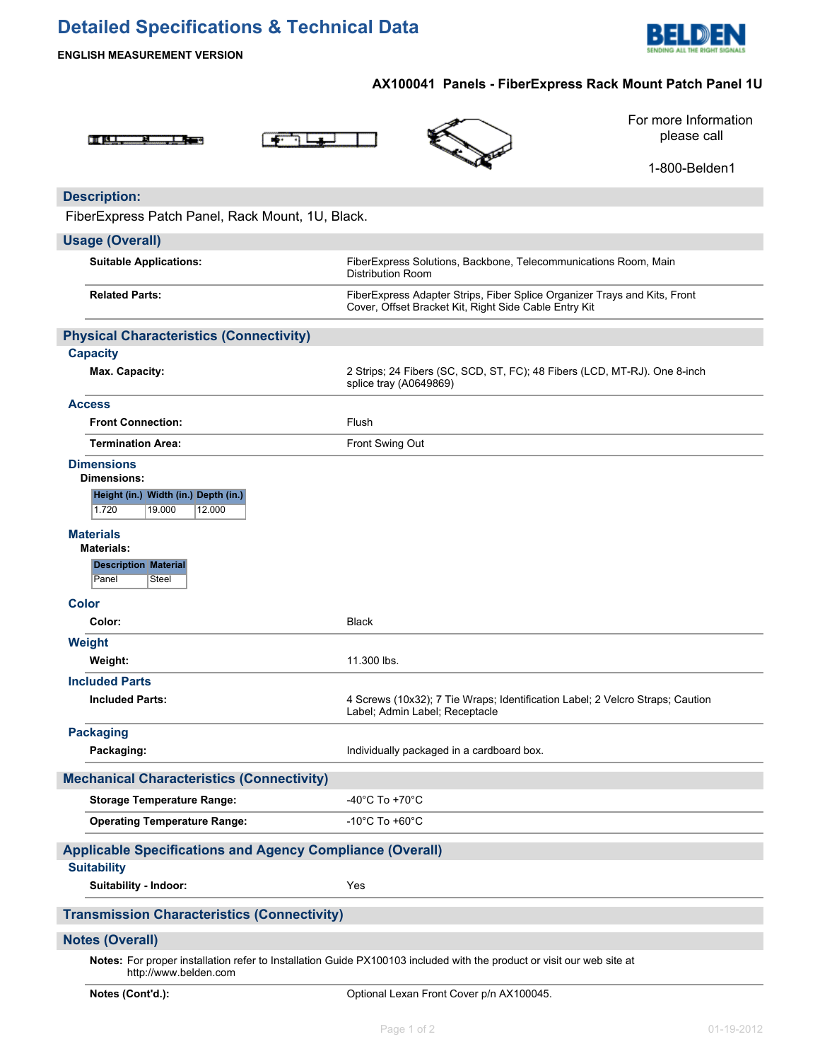# **Detailed Specifications & Technical Data**



**ENGLISH MEASUREMENT VERSION**

## **AX100041 Panels - FiberExpress Rack Mount Patch Panel 1U**





For more Information please call

1-800-Belden1

## **Description:**

FiberExpress Patch Panel, Rack Mount, 1U, Black.

### **Usage (Overall)**

| <b>Suitable Applications:</b>                                     | FiberExpress Solutions, Backbone, Telecommunications Room, Main<br><b>Distribution Room</b>                                        |  |  |  |
|-------------------------------------------------------------------|------------------------------------------------------------------------------------------------------------------------------------|--|--|--|
| <b>Related Parts:</b>                                             | FiberExpress Adapter Strips, Fiber Splice Organizer Trays and Kits, Front<br>Cover, Offset Bracket Kit, Right Side Cable Entry Kit |  |  |  |
| <b>Physical Characteristics (Connectivity)</b>                    |                                                                                                                                    |  |  |  |
| <b>Capacity</b>                                                   |                                                                                                                                    |  |  |  |
| Max. Capacity:                                                    | 2 Strips; 24 Fibers (SC, SCD, ST, FC); 48 Fibers (LCD, MT-RJ). One 8-inch<br>splice tray (A0649869)                                |  |  |  |
| <b>Access</b>                                                     |                                                                                                                                    |  |  |  |
| <b>Front Connection:</b>                                          | Flush                                                                                                                              |  |  |  |
| <b>Termination Area:</b>                                          | Front Swing Out                                                                                                                    |  |  |  |
| <b>Dimensions</b><br><b>Dimensions:</b>                           |                                                                                                                                    |  |  |  |
| Height (in.) Width (in.) Depth (in.)<br>1.720<br>19.000<br>12.000 |                                                                                                                                    |  |  |  |
| <b>Materials</b><br><b>Materials:</b>                             |                                                                                                                                    |  |  |  |
| <b>Description Material</b><br>Panel<br>Steel                     |                                                                                                                                    |  |  |  |
| <b>Color</b>                                                      |                                                                                                                                    |  |  |  |
| Color:                                                            | <b>Black</b>                                                                                                                       |  |  |  |
| Weight                                                            |                                                                                                                                    |  |  |  |
| Weight:                                                           | 11.300 lbs.                                                                                                                        |  |  |  |
| <b>Included Parts</b>                                             |                                                                                                                                    |  |  |  |
| <b>Included Parts:</b>                                            | 4 Screws (10x32); 7 Tie Wraps; Identification Label; 2 Velcro Straps; Caution<br>Label; Admin Label; Receptacle                    |  |  |  |
| <b>Packaging</b>                                                  |                                                                                                                                    |  |  |  |
| Packaging:                                                        | Individually packaged in a cardboard box.                                                                                          |  |  |  |
| <b>Mechanical Characteristics (Connectivity)</b>                  |                                                                                                                                    |  |  |  |
| <b>Storage Temperature Range:</b>                                 | -40 $^{\circ}$ C To +70 $^{\circ}$ C                                                                                               |  |  |  |
| <b>Operating Temperature Range:</b>                               | $-10^{\circ}$ C To $+60^{\circ}$ C                                                                                                 |  |  |  |
| <b>Applicable Specifications and Agency Compliance (Overall)</b>  |                                                                                                                                    |  |  |  |
| <b>Suitability</b>                                                |                                                                                                                                    |  |  |  |
| Suitability - Indoor:                                             | Yes                                                                                                                                |  |  |  |
| <b>Transmission Characteristics (Connectivity)</b>                |                                                                                                                                    |  |  |  |
| <b>Notes (Overall)</b>                                            |                                                                                                                                    |  |  |  |
| http://www.belden.com                                             | Notes: For proper installation refer to Installation Guide PX100103 included with the product or visit our web site at             |  |  |  |